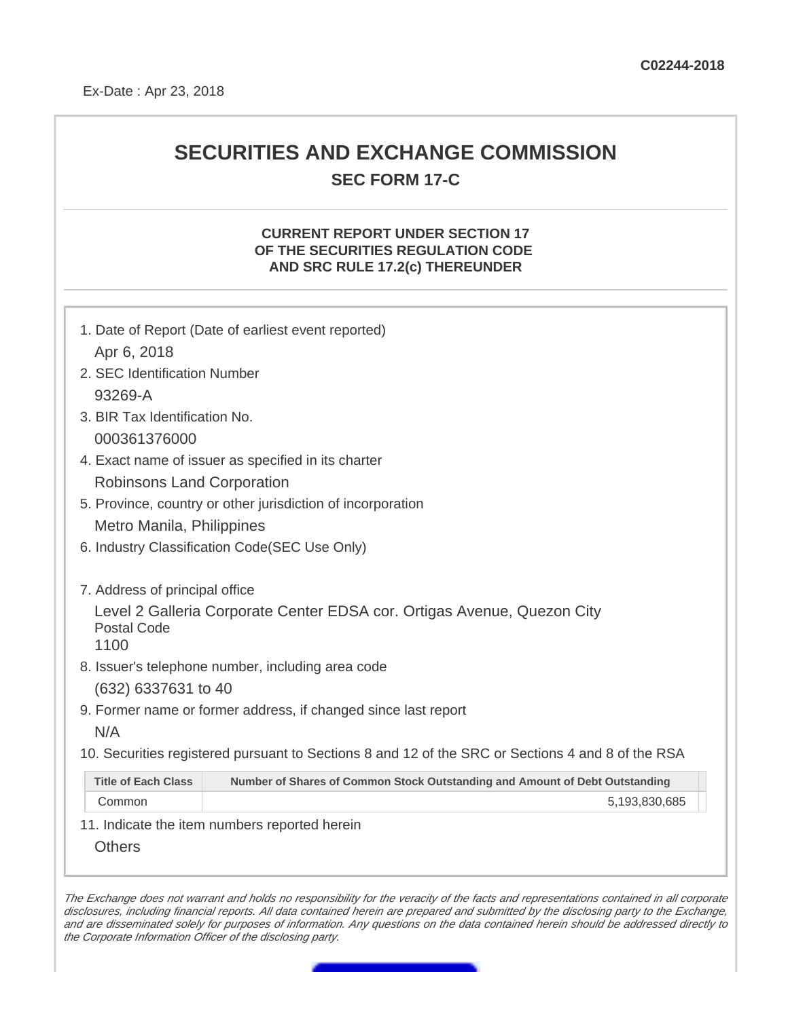## **SECURITIES AND EXCHANGE COMMISSION SEC FORM 17-C**

## **CURRENT REPORT UNDER SECTION 17 OF THE SECURITIES REGULATION CODE AND SRC RULE 17.2(c) THEREUNDER**

|                                               | 1. Date of Report (Date of earliest event reported)                                               |  |  |
|-----------------------------------------------|---------------------------------------------------------------------------------------------------|--|--|
| Apr 6, 2018                                   |                                                                                                   |  |  |
| 2. SEC Identification Number                  |                                                                                                   |  |  |
| 93269-A                                       |                                                                                                   |  |  |
| 3. BIR Tax Identification No.                 |                                                                                                   |  |  |
| 000361376000                                  |                                                                                                   |  |  |
|                                               | 4. Exact name of issuer as specified in its charter                                               |  |  |
| <b>Robinsons Land Corporation</b>             |                                                                                                   |  |  |
|                                               | 5. Province, country or other jurisdiction of incorporation                                       |  |  |
| Metro Manila, Philippines                     |                                                                                                   |  |  |
| 6. Industry Classification Code(SEC Use Only) |                                                                                                   |  |  |
| 7. Address of principal office                |                                                                                                   |  |  |
| <b>Postal Code</b><br>1100                    | Level 2 Galleria Corporate Center EDSA cor. Ortigas Avenue, Quezon City                           |  |  |
|                                               | 8. Issuer's telephone number, including area code                                                 |  |  |
| (632) 6337631 to 40                           |                                                                                                   |  |  |
|                                               | 9. Former name or former address, if changed since last report                                    |  |  |
| N/A                                           |                                                                                                   |  |  |
|                                               | 10. Securities registered pursuant to Sections 8 and 12 of the SRC or Sections 4 and 8 of the RSA |  |  |
| <b>Title of Each Class</b>                    | Number of Shares of Common Stock Outstanding and Amount of Debt Outstanding                       |  |  |
| Common                                        | 5,193,830,685                                                                                     |  |  |
|                                               | 11. Indicate the item numbers reported herein                                                     |  |  |
| <b>Others</b>                                 |                                                                                                   |  |  |

The Exchange does not warrant and holds no responsibility for the veracity of the facts and representations contained in all corporate disclosures, including financial reports. All data contained herein are prepared and submitted by the disclosing party to the Exchange, and are disseminated solely for purposes of information. Any questions on the data contained herein should be addressed directly to the Corporate Information Officer of the disclosing party.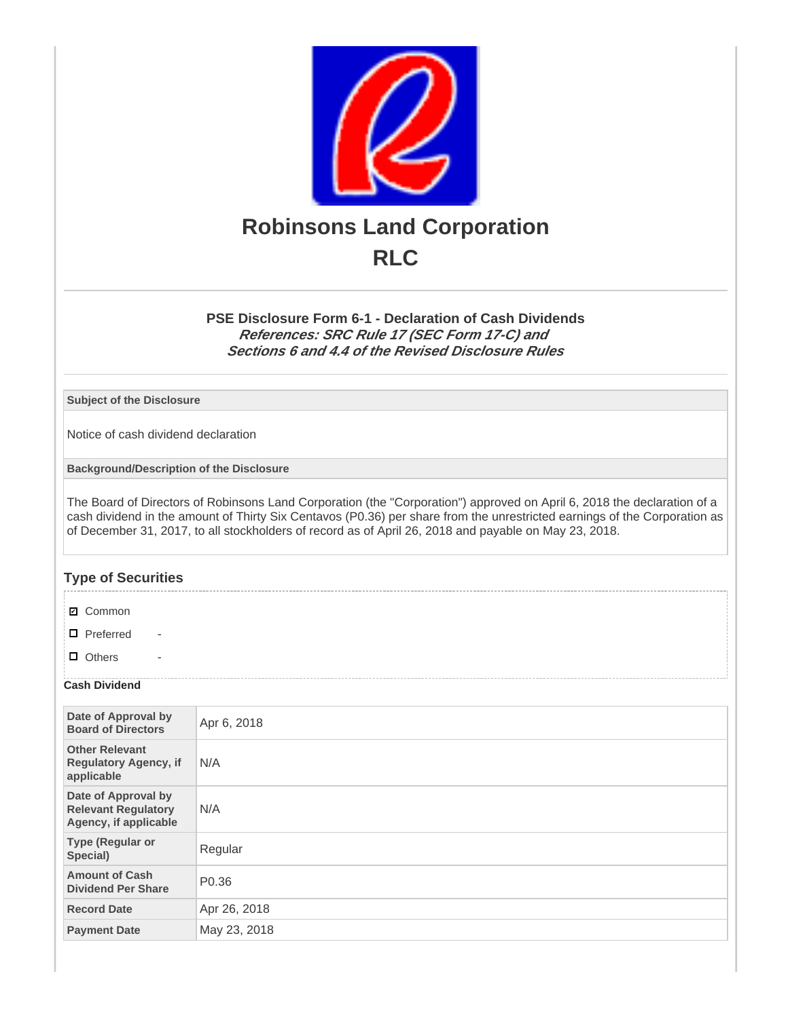

**PSE Disclosure Form 6-1 - Declaration of Cash Dividends References: SRC Rule 17 (SEC Form 17-C) and Sections 6 and 4.4 of the Revised Disclosure Rules**

**Subject of the Disclosure**

Notice of cash dividend declaration

**Background/Description of the Disclosure**

The Board of Directors of Robinsons Land Corporation (the "Corporation") approved on April 6, 2018 the declaration of a cash dividend in the amount of Thirty Six Centavos (P0.36) per share from the unrestricted earnings of the Corporation as of December 31, 2017, to all stockholders of record as of April 26, 2018 and payable on May 23, 2018.

## **Type of Securities**

**☑** Common

 $\Box$  Preferred

 $\Box$  Others

## **Cash Dividend**

| Date of Approval by<br><b>Board of Directors</b>                           | Apr 6, 2018       |
|----------------------------------------------------------------------------|-------------------|
| <b>Other Relevant</b><br><b>Regulatory Agency, if</b><br>applicable        | N/A               |
| Date of Approval by<br><b>Relevant Regulatory</b><br>Agency, if applicable | N/A               |
| <b>Type (Regular or</b><br>Special)                                        | Regular           |
| <b>Amount of Cash</b><br><b>Dividend Per Share</b>                         | P <sub>0.36</sub> |
| <b>Record Date</b>                                                         | Apr 26, 2018      |
| <b>Payment Date</b>                                                        | May 23, 2018      |